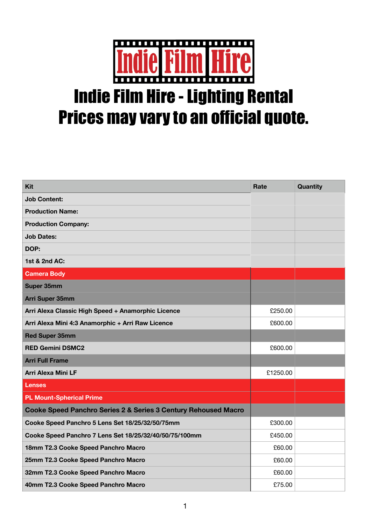

## Indie Film Hire - Lighting Rental Prices may vary to an official quote.

| <b>Kit</b>                                                                | Rate     | <b>Quantity</b> |
|---------------------------------------------------------------------------|----------|-----------------|
| <b>Job Content:</b>                                                       |          |                 |
| <b>Production Name:</b>                                                   |          |                 |
| <b>Production Company:</b>                                                |          |                 |
| <b>Job Dates:</b>                                                         |          |                 |
| DOP:                                                                      |          |                 |
| 1st & 2nd AC:                                                             |          |                 |
| <b>Camera Body</b>                                                        |          |                 |
| <b>Super 35mm</b>                                                         |          |                 |
| Arri Super 35mm                                                           |          |                 |
| Arri Alexa Classic High Speed + Anamorphic Licence                        | £250.00  |                 |
| Arri Alexa Mini 4:3 Anamorphic + Arri Raw Licence                         | £600.00  |                 |
| <b>Red Super 35mm</b>                                                     |          |                 |
| <b>RED Gemini DSMC2</b>                                                   | £600.00  |                 |
| <b>Arri Full Frame</b>                                                    |          |                 |
| <b>Arri Alexa Mini LF</b>                                                 | £1250.00 |                 |
| <b>Lenses</b>                                                             |          |                 |
| <b>PL Mount-Spherical Prime</b>                                           |          |                 |
| <b>Cooke Speed Panchro Series 2 &amp; Series 3 Century Rehoused Macro</b> |          |                 |
| Cooke Speed Panchro 5 Lens Set 18/25/32/50/75mm                           | £300.00  |                 |
| Cooke Speed Panchro 7 Lens Set 18/25/32/40/50/75/100mm                    | £450.00  |                 |
| 18mm T2.3 Cooke Speed Panchro Macro                                       | £60.00   |                 |
| 25mm T2.3 Cooke Speed Panchro Macro                                       | £60.00   |                 |
| 32mm T2.3 Cooke Speed Panchro Macro                                       | £60.00   |                 |
| 40mm T2.3 Cooke Speed Panchro Macro                                       | £75.00   |                 |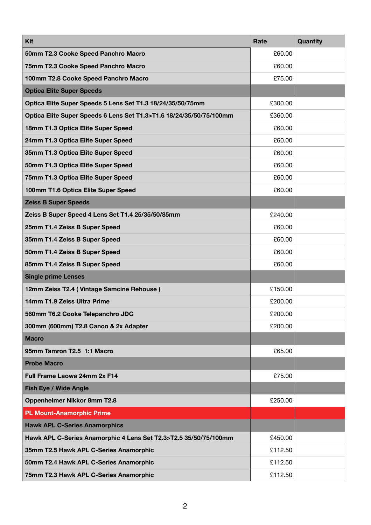| <b>Kit</b>                                                          | Rate    | Quantity |
|---------------------------------------------------------------------|---------|----------|
| 50mm T2.3 Cooke Speed Panchro Macro                                 | £60.00  |          |
| 75mm T2.3 Cooke Speed Panchro Macro                                 | £60.00  |          |
| 100mm T2.8 Cooke Speed Panchro Macro                                | £75.00  |          |
| <b>Optica Elite Super Speeds</b>                                    |         |          |
| Optica Elite Super Speeds 5 Lens Set T1.3 18/24/35/50/75mm          | £300.00 |          |
| Optica Elite Super Speeds 6 Lens Set T1.3>T1.6 18/24/35/50/75/100mm | £360.00 |          |
| 18mm T1.3 Optica Elite Super Speed                                  | £60.00  |          |
| 24mm T1.3 Optica Elite Super Speed                                  | £60.00  |          |
| 35mm T1.3 Optica Elite Super Speed                                  | £60.00  |          |
| 50mm T1.3 Optica Elite Super Speed                                  | £60.00  |          |
| 75mm T1.3 Optica Elite Super Speed                                  | £60.00  |          |
| 100mm T1.6 Optica Elite Super Speed                                 | £60.00  |          |
| <b>Zeiss B Super Speeds</b>                                         |         |          |
| Zeiss B Super Speed 4 Lens Set T1.4 25/35/50/85mm                   | £240.00 |          |
| 25mm T1.4 Zeiss B Super Speed                                       | £60.00  |          |
| 35mm T1.4 Zeiss B Super Speed                                       | £60.00  |          |
| 50mm T1.4 Zeiss B Super Speed                                       | £60.00  |          |
| 85mm T1.4 Zeiss B Super Speed                                       | £60.00  |          |
| <b>Single prime Lenses</b>                                          |         |          |
| 12mm Zeiss T2.4 (Vintage Samcine Rehouse)                           | £150.00 |          |
| 14mm T1.9 Zeiss Ultra Prime                                         | £200.00 |          |
| 560mm T6.2 Cooke Telepanchro JDC                                    | £200.00 |          |
| 300mm (600mm) T2.8 Canon & 2x Adapter                               | £200.00 |          |
| <b>Macro</b>                                                        |         |          |
| 95mm Tamron T2.5 1:1 Macro                                          | £65.00  |          |
| <b>Probe Macro</b>                                                  |         |          |
| Full Frame Laowa 24mm 2x F14                                        | £75.00  |          |
| <b>Fish Eye / Wide Angle</b>                                        |         |          |
| Oppenheimer Nikkor 8mm T2.8                                         | £250.00 |          |
| <b>PL Mount-Anamorphic Prime</b>                                    |         |          |
| <b>Hawk APL C-Series Anamorphics</b>                                |         |          |
| Hawk APL C-Series Anamorphic 4 Lens Set T2.3>T2.5 35/50/75/100mm    | £450.00 |          |
| 35mm T2.5 Hawk APL C-Series Anamorphic                              | £112.50 |          |
| 50mm T2.4 Hawk APL C-Series Anamorphic                              | £112.50 |          |
| 75mm T2.3 Hawk APL C-Series Anamorphic                              | £112.50 |          |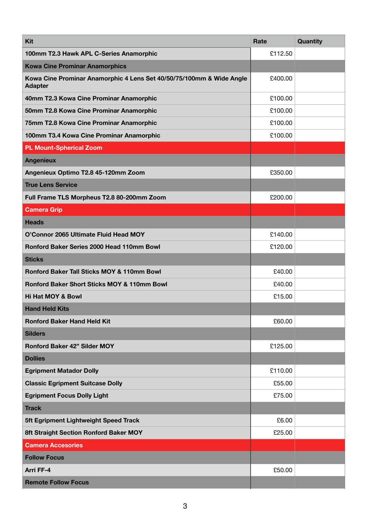| Kit                                                                                    | Rate    | Quantity |
|----------------------------------------------------------------------------------------|---------|----------|
| 100mm T2.3 Hawk APL C-Series Anamorphic                                                | £112.50 |          |
| <b>Kowa Cine Prominar Anamorphics</b>                                                  |         |          |
| Kowa Cine Prominar Anamorphic 4 Lens Set 40/50/75/100mm & Wide Angle<br><b>Adapter</b> | £400.00 |          |
| 40mm T2.3 Kowa Cine Prominar Anamorphic                                                | £100.00 |          |
| 50mm T2.8 Kowa Cine Prominar Anamorphic                                                | £100.00 |          |
| 75mm T2.8 Kowa Cine Prominar Anamorphic                                                | £100.00 |          |
| 100mm T3.4 Kowa Cine Prominar Anamorphic                                               | £100.00 |          |
| <b>PL Mount-Spherical Zoom</b>                                                         |         |          |
| <b>Angenieux</b>                                                                       |         |          |
| Angenieux Optimo T2.8 45-120mm Zoom                                                    | £350.00 |          |
| <b>True Lens Service</b>                                                               |         |          |
| Full Frame TLS Morpheus T2.8 80-200mm Zoom                                             | £200.00 |          |
| <b>Camera Grip</b>                                                                     |         |          |
| <b>Heads</b>                                                                           |         |          |
| O'Connor 2065 Ultimate Fluid Head MOY                                                  | £140.00 |          |
| <b>Ronford Baker Series 2000 Head 110mm Bowl</b>                                       | £120.00 |          |
| <b>Sticks</b>                                                                          |         |          |
| Ronford Baker Tall Sticks MOY & 110mm Bowl                                             | £40.00  |          |
| <b>Ronford Baker Short Sticks MOY &amp; 110mm Bowl</b>                                 | £40.00  |          |
| <b>Hi Hat MOY &amp; Bowl</b>                                                           | £15.00  |          |
| <b>Hand Held Kits</b>                                                                  |         |          |
| <b>Ronford Baker Hand Held Kit</b>                                                     | £60.00  |          |
| <b>Silders</b>                                                                         |         |          |
| <b>Ronford Baker 42" Silder MOY</b>                                                    | £125.00 |          |
| <b>Dollies</b>                                                                         |         |          |
| <b>Egripment Matador Dolly</b>                                                         | £110.00 |          |
| <b>Classic Egripment Suitcase Dolly</b>                                                | £55.00  |          |
| <b>Egripment Focus Dolly Light</b>                                                     | £75.00  |          |
| <b>Track</b>                                                                           |         |          |
| 5ft Egripment Lightweight Speed Track                                                  | £6.00   |          |
| 8ft Straight Section Ronford Baker MOY                                                 | £25.00  |          |
| <b>Camera Accesories</b>                                                               |         |          |
| <b>Follow Focus</b>                                                                    |         |          |
| Arri FF-4                                                                              | £50.00  |          |
| <b>Remote Follow Focus</b>                                                             |         |          |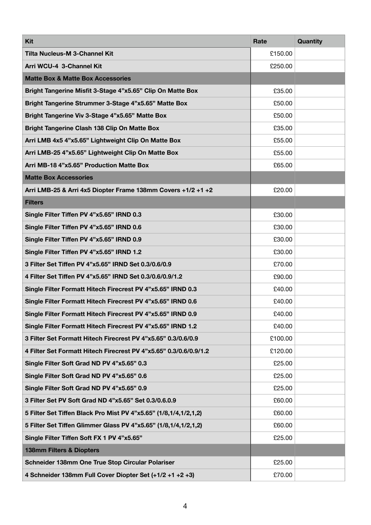| Kit                                                               | Rate    | <b>Quantity</b> |
|-------------------------------------------------------------------|---------|-----------------|
| <b>Tilta Nucleus-M 3-Channel Kit</b>                              | £150.00 |                 |
| Arri WCU-4 3-Channel Kit                                          | £250.00 |                 |
| <b>Matte Box &amp; Matte Box Accessories</b>                      |         |                 |
| Bright Tangerine Misfit 3-Stage 4"x5.65" Clip On Matte Box        | £35.00  |                 |
| Bright Tangerine Strummer 3-Stage 4"x5.65" Matte Box              | £50.00  |                 |
| Bright Tangerine Viv 3-Stage 4"x5.65" Matte Box                   | £50.00  |                 |
| <b>Bright Tangerine Clash 138 Clip On Matte Box</b>               | £35.00  |                 |
| Arri LMB 4x5 4"x5.65" Lightweight Clip On Matte Box               | £55.00  |                 |
| Arri LMB-25 4"x5.65" Lightweight Clip On Matte Box                | £55.00  |                 |
| Arri MB-18 4"x5.65" Production Matte Box                          | £65.00  |                 |
| <b>Matte Box Accessories</b>                                      |         |                 |
| Arri LMB-25 & Arri 4x5 Diopter Frame 138mm Covers +1/2 +1 +2      | £20.00  |                 |
| <b>Filters</b>                                                    |         |                 |
| Single Filter Tiffen PV 4"x5.65" IRND 0.3                         | £30.00  |                 |
| Single Filter Tiffen PV 4"x5.65" IRND 0.6                         | £30.00  |                 |
| Single Filter Tiffen PV 4"x5.65" IRND 0.9                         | £30.00  |                 |
| Single Filter Tiffen PV 4"x5.65" IRND 1.2                         | £30.00  |                 |
| 3 Filter Set Tiffen PV 4"x5.65" IRND Set 0.3/0.6/0.9              | £70.00  |                 |
| 4 Filter Set Tiffen PV 4"x5.65" IRND Set 0.3/0.6/0.9/1.2          | £90.00  |                 |
| Single Filter Formatt Hitech Firecrest PV 4"x5.65" IRND 0.3       | £40.00  |                 |
| Single Filter Formatt Hitech Firecrest PV 4"x5.65" IRND 0.6       | £40.00  |                 |
| Single Filter Formatt Hitech Firecrest PV 4"x5.65" IRND 0.9       | £40.00  |                 |
| Single Filter Formatt Hitech Firecrest PV 4"x5.65" IRND 1.2       | £40.00  |                 |
| 3 Filter Set Formatt Hitech Firecrest PV 4"x5.65" 0.3/0.6/0.9     | £100.00 |                 |
| 4 Filter Set Formatt Hitech Firecrest PV 4"x5.65" 0.3/0.6/0.9/1.2 | £120.00 |                 |
| Single Filter Soft Grad ND PV 4"x5.65" 0.3                        | £25.00  |                 |
| Single Filter Soft Grad ND PV 4"x5.65" 0.6                        | £25.00  |                 |
| Single Filter Soft Grad ND PV 4"x5.65" 0.9                        | £25.00  |                 |
| 3 Filter Set PV Soft Grad ND 4"x5.65" Set 0.3/0.6.0.9             | £60.00  |                 |
| 5 Filter Set Tiffen Black Pro Mist PV 4"x5.65" (1/8,1/4,1/2,1,2)  | £60.00  |                 |
| 5 Filter Set Tiffen Glimmer Glass PV 4"x5.65" (1/8,1/4,1/2,1,2)   | £60.00  |                 |
| Single Filter Tiffen Soft FX 1 PV 4"x5.65"                        | £25.00  |                 |
| 138mm Filters & Diopters                                          |         |                 |
| Schneider 138mm One True Stop Circular Polariser                  | £25.00  |                 |
| 4 Schneider 138mm Full Cover Diopter Set (+1/2 +1 +2 +3)          | £70.00  |                 |